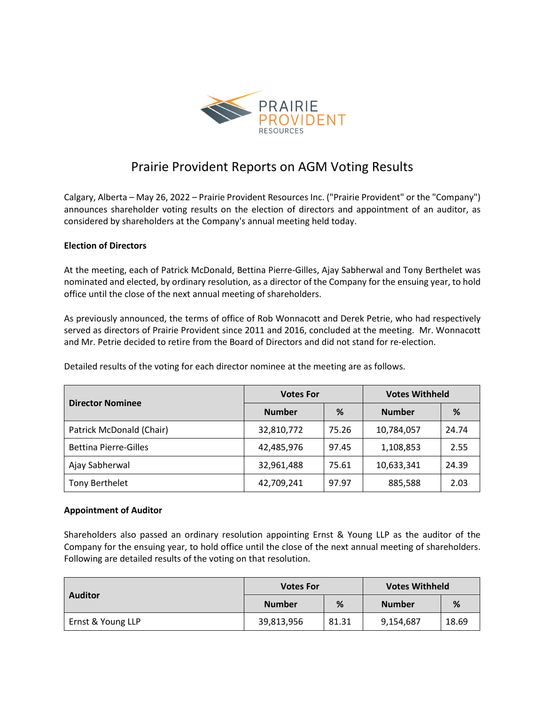

# Prairie Provident Reports on AGM Voting Results

Calgary, Alberta – May 26, 2022 – Prairie Provident Resources Inc. ("Prairie Provident" or the "Company") announces shareholder voting results on the election of directors and appointment of an auditor, as considered by shareholders at the Company's annual meeting held today.

## **Election of Directors**

At the meeting, each of Patrick McDonald, Bettina Pierre-Gilles, Ajay Sabherwal and Tony Berthelet was nominated and elected, by ordinary resolution, as a director of the Company for the ensuing year, to hold office until the close of the next annual meeting of shareholders.

As previously announced, the terms of office of Rob Wonnacott and Derek Petrie, who had respectively served as directors of Prairie Provident since 2011 and 2016, concluded at the meeting. Mr. Wonnacott and Mr. Petrie decided to retire from the Board of Directors and did not stand for re-election.

Detailed results of the voting for each director nominee at the meeting are as follows.

| <b>Director Nominee</b>      | <b>Votes For</b> |       | <b>Votes Withheld</b> |       |
|------------------------------|------------------|-------|-----------------------|-------|
|                              | <b>Number</b>    | %     | <b>Number</b>         | %     |
| Patrick McDonald (Chair)     | 32,810,772       | 75.26 | 10,784,057            | 24.74 |
| <b>Bettina Pierre-Gilles</b> | 42,485,976       | 97.45 | 1,108,853             | 2.55  |
| Ajay Sabherwal               | 32,961,488       | 75.61 | 10,633,341            | 24.39 |
| Tony Berthelet               | 42,709,241       | 97.97 | 885,588               | 2.03  |

#### **Appointment of Auditor**

Shareholders also passed an ordinary resolution appointing Ernst & Young LLP as the auditor of the Company for the ensuing year, to hold office until the close of the next annual meeting of shareholders. Following are detailed results of the voting on that resolution.

| <b>Auditor</b>    | <b>Votes For</b> |       | <b>Votes Withheld</b> |       |
|-------------------|------------------|-------|-----------------------|-------|
|                   | <b>Number</b>    | %     | <b>Number</b>         | %     |
| Ernst & Young LLP | 39,813,956       | 81.31 | 9,154,687             | 18.69 |